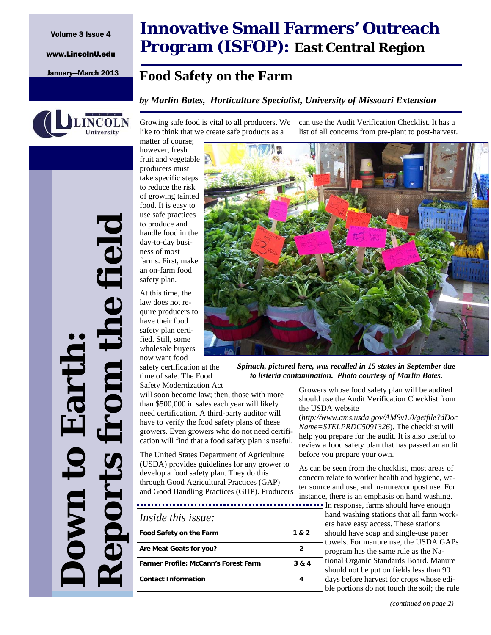www.LincolnU.edu



**Down to Earth:** 

Jown t

Earth

*Reports from the field* 

eports

the field

# **Innovative Small Farmers' Outreach Program (ISFOP): East Central Region**

## January—March 2013 **Food Safety on the Farm**

### *by Marlin Bates, Horticulture Specialist, University of Missouri Extension*

Growing safe food is vital to all producers. We like to think that we create safe products as a

matter of course; however, fresh fruit and vegetable producers must take specific steps to reduce the risk of growing tainted food. It is easy to use safe practices to produce and handle food in the day-to-day business of most farms. First, make an on-farm food safety plan.

At this time, the law does not require producers to have their food safety plan certified. Still, some wholesale buyers now want food

safety certification at the time of sale. The Food Safety Modernization Act

will soon become law; then, those with more than \$500,000 in sales each year will likely need certification. A third-party auditor will have to verify the food safety plans of these growers. Even growers who do not need certification will find that a food safety plan is useful.

The United States Department of Agriculture (USDA) provides guidelines for any grower to develop a food safety plan. They do this through Good Agricultural Practices (GAP) and Good Handling Practices (GHP). Producers

| Food Safety on the Farm                     | 1 & 2 |
|---------------------------------------------|-------|
| Are Meat Goats for you?                     | 2     |
| <b>Farmer Profile: McCann's Forest Farm</b> | 3 & 4 |
| <b>Contact Information</b>                  |       |

can use the Audit Verification Checklist. It has a list of all concerns from pre-plant to post-harvest.

*Spinach, pictured here, was recalled in 15 states in September due to listeria contamination. Photo courtesy of Marlin Bates.* 

Growers whose food safety plan will be audited should use the Audit Verification Checklist from the USDA website

(*http://www.ams.usda.gov/AMSv1.0/getfile?dDoc Name=STELPRDC5091326*). The checklist will help you prepare for the audit. It is also useful to review a food safety plan that has passed an audit before you prepare your own.

As can be seen from the checklist, most areas of concern relate to worker health and hygiene, water source and use, and manure/compost use. For instance, there is an emphasis on hand washing.

**In response, farms should have enough** hand washing stations that all farm workers have easy access. These stations should have soap and single-use paper - towels. For manure use, the USDA GAPs program has the same rule as the National Organic Standards Board. Manure should not be put on fields less than 90 days before harvest for crops whose edible portions do not touch the soil; the rule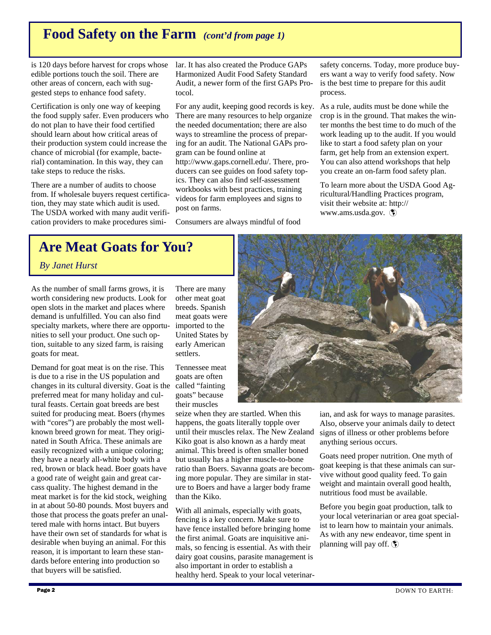## **Food Safety on the Farm** *(cont'd from page 1)*

is 120 days before harvest for crops whose edible portions touch the soil. There are other areas of concern, each with suggested steps to enhance food safety.

Certification is only one way of keeping the food supply safer. Even producers who do not plan to have their food certified should learn about how critical areas of their production system could increase the chance of microbial (for example, bacterial) contamination. In this way, they can take steps to reduce the risks.

There are a number of audits to choose from. If wholesale buyers request certification, they may state which audit is used. The USDA worked with many audit verification providers to make procedures similar. It has also created the Produce GAPs Harmonized Audit Food Safety Standard Audit, a newer form of the first GAPs Protocol.

For any audit, keeping good records is key. There are many resources to help organize the needed documentation; there are also ways to streamline the process of preparing for an audit. The National GAPs program can be found online at http://www.gaps.cornell.edu/. There, producers can see guides on food safety topics. They can also find self-assessment workbooks with best practices, training videos for farm employees and signs to post on farms.

Consumers are always mindful of food

safety concerns. Today, more produce buyers want a way to verify food safety. Now is the best time to prepare for this audit process.

As a rule, audits must be done while the crop is in the ground. That makes the winter months the best time to do much of the work leading up to the audit. If you would like to start a food safety plan on your farm, get help from an extension expert. You can also attend workshops that help you create an on-farm food safety plan.

To learn more about the USDA Good Agricultural/Handling Practices program, visit their website at: http:// www.ams.usda.gov.

# **Are Meat Goats for You?**

 *By Janet Hurst*

As the number of small farms grows, it is worth considering new products. Look for open slots in the market and places where demand is unfulfilled. You can also find specialty markets, where there are opportunities to sell your product. One such option, suitable to any sized farm, is raising goats for meat.

Demand for goat meat is on the rise. This is due to a rise in the US population and changes in its cultural diversity. Goat is the preferred meat for many holiday and cultural feasts. Certain goat breeds are best suited for producing meat. Boers (rhymes with "cores") are probably the most wellknown breed grown for meat. They originated in South Africa. These animals are easily recognized with a unique coloring; they have a nearly all-white body with a red, brown or black head. Boer goats have a good rate of weight gain and great carcass quality. The highest demand in the meat market is for the kid stock, weighing in at about 50-80 pounds. Most buyers and those that process the goats prefer an unaltered male with horns intact. But buyers have their own set of standards for what is desirable when buying an animal. For this reason, it is important to learn these standards before entering into production so that buyers will be satisfied.

There are many other meat goat breeds. Spanish meat goats were imported to the United States by early American settlers.

Tennessee meat goats are often called "fainting goats" because their muscles

seize when they are startled. When this happens, the goats literally topple over until their muscles relax. The New Zealand Kiko goat is also known as a hardy meat animal. This breed is often smaller boned but usually has a higher muscle-to-bone ratio than Boers. Savanna goats are becoming more popular. They are similar in stature to Boers and have a larger body frame than the Kiko.

With all animals, especially with goats, fencing is a key concern. Make sure to have fence installed before bringing home the first animal. Goats are inquisitive animals, so fencing is essential. As with their dairy goat cousins, parasite management is also important in order to establish a healthy herd. Speak to your local veterinar-



ian, and ask for ways to manage parasites. Also, observe your animals daily to detect signs of illness or other problems before anything serious occurs.

Goats need proper nutrition. One myth of goat keeping is that these animals can survive without good quality feed. To gain weight and maintain overall good health, nutritious food must be available.

Before you begin goat production, talk to your local veterinarian or area goat specialist to learn how to maintain your animals. As with any new endeavor, time spent in planning will pay off.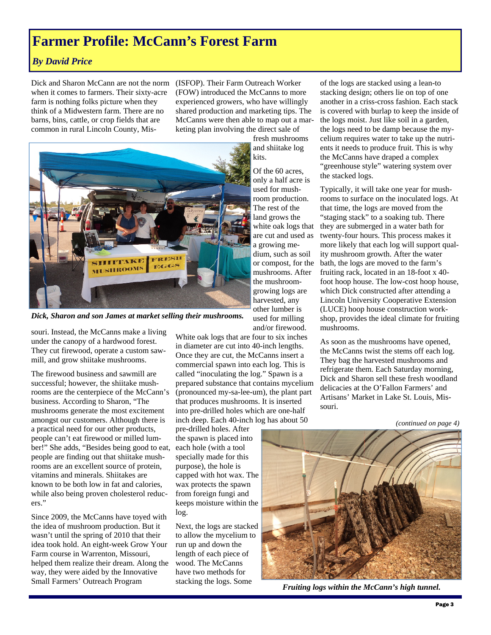## **Farmer Profile: McCann's Forest Farm**

### *By David Price*

Dick and Sharon McCann are not the norm (ISFOP). Their Farm Outreach Worker when it comes to farmers. Their sixty-acre farm is nothing folks picture when they think of a Midwestern farm. There are no barns, bins, cattle, or crop fields that are common in rural Lincoln County, Mis-

(FOW) introduced the McCanns to more experienced growers, who have willingly shared production and marketing tips. The McCanns were then able to map out a marketing plan involving the direct sale of



*Dick, Sharon and son James at market selling their mushrooms.* 

souri. Instead, the McCanns make a living under the canopy of a hardwood forest. They cut firewood, operate a custom sawmill, and grow shiitake mushrooms.

The firewood business and sawmill are successful; however, the shiitake mushrooms are the centerpiece of the McCann's business. According to Sharon, "The mushrooms generate the most excitement amongst our customers. Although there is a practical need for our other products, people can't eat firewood or milled lumber!" She adds, "Besides being good to eat, people are finding out that shiitake mushrooms are an excellent source of protein, vitamins and minerals. Shiitakes are known to be both low in fat and calories, while also being proven cholesterol reducers."

Since 2009, the McCanns have toyed with the idea of mushroom production. But it wasn't until the spring of 2010 that their idea took hold. An eight-week Grow Your Farm course in Warrenton, Missouri, helped them realize their dream. Along the way, they were aided by the Innovative Small Farmers' Outreach Program

White oak logs that are four to six inches in diameter are cut into 40-inch lengths. Once they are cut, the McCanns insert a commercial spawn into each log. This is called "inoculating the log." Spawn is a prepared substance that contains mycelium (pronounced my-sa-lee-um), the plant part that produces mushrooms. It is inserted into pre-drilled holes which are one-half inch deep. Each 40-inch log has about 50

used for milling and/or firewood.

pre-drilled holes. After the spawn is placed into each hole (with a tool specially made for this purpose), the hole is capped with hot wax. The wax protects the spawn from foreign fungi and keeps moisture within the log.

Next, the logs are stacked to allow the mycelium to run up and down the length of each piece of wood. The McCanns have two methods for stacking the logs. Some

of the logs are stacked using a lean-to stacking design; others lie on top of one another in a criss-cross fashion. Each stack is covered with burlap to keep the inside of the logs moist. Just like soil in a garden, the logs need to be damp because the mycelium requires water to take up the nutrients it needs to produce fruit. This is why the McCanns have draped a complex "greenhouse style" watering system over the stacked logs.

Typically, it will take one year for mushrooms to surface on the inoculated logs. At that time, the logs are moved from the "staging stack" to a soaking tub. There they are submerged in a water bath for twenty-four hours. This process makes it more likely that each log will support quality mushroom growth. After the water bath, the logs are moved to the farm's fruiting rack, located in an 18-foot x 40 foot hoop house. The low-cost hoop house, which Dick constructed after attending a Lincoln University Cooperative Extension (LUCE) hoop house construction workshop, provides the ideal climate for fruiting mushrooms.

As soon as the mushrooms have opened, the McCanns twist the stems off each log. They bag the harvested mushrooms and refrigerate them. Each Saturday morning, Dick and Sharon sell these fresh woodland delicacies at the O'Fallon Farmers' and Artisans' Market in Lake St. Louis, Missouri.

*(continued on page 4)* 



*Fruiting logs within the McCann's high tunnel.*